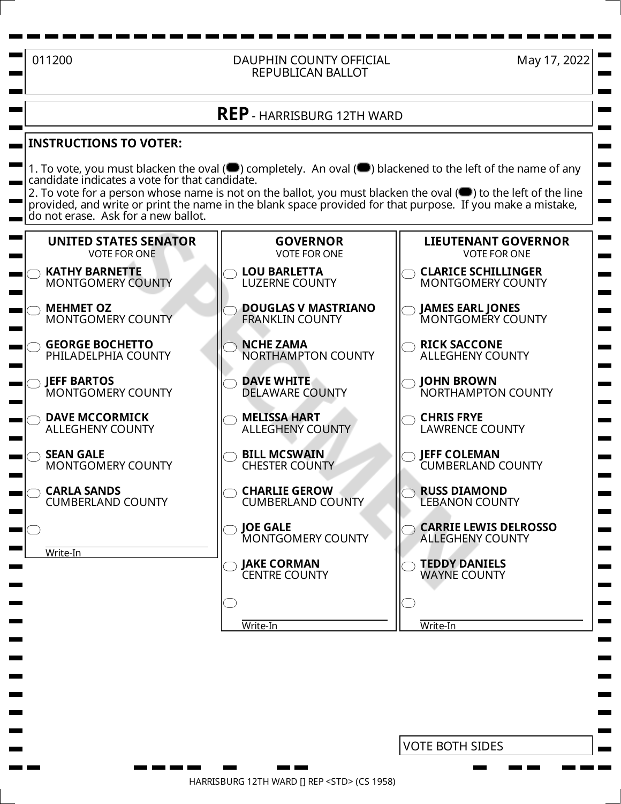## 011200 DAUPHIN COUNTY OFFICIAL REPUBLICAN BALLOT

May 17, 2022

## **REP**- HARRISBURG 12TH WARD

## **INSTRUCTIONS TO VOTER:**

1. To vote, you must blacken the oval (**O**) completely. An oval (O) blackened to the left of the name of any candidate indicates a vote for that candidate.

2. To vote for a person whose name is not on the ballot, you must blacken the oval  $($ **)** to the left of the line provided, and write or print the name in the blank space provided for that purpose. If you make a mistake, do not erase. Ask for a new ballot.